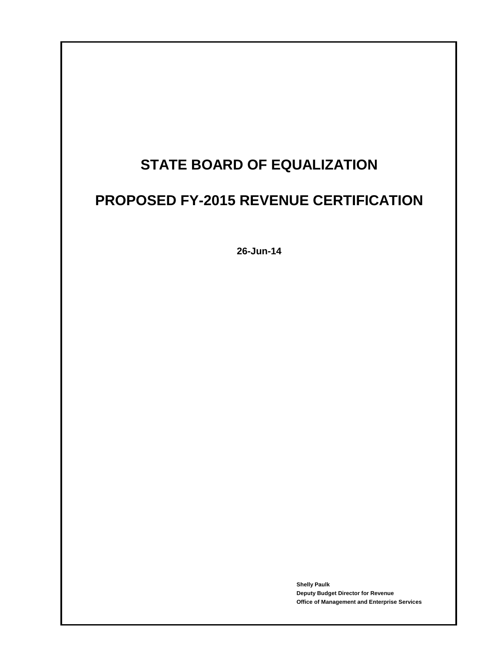# **STATE BOARD OF EQUALIZATION**

# **PROPOSED FY-2015 REVENUE CERTIFICATION**

**26-Jun-14**

**Shelly Paulk Deputy Budget Director for Revenue Office of Management and Enterprise Services**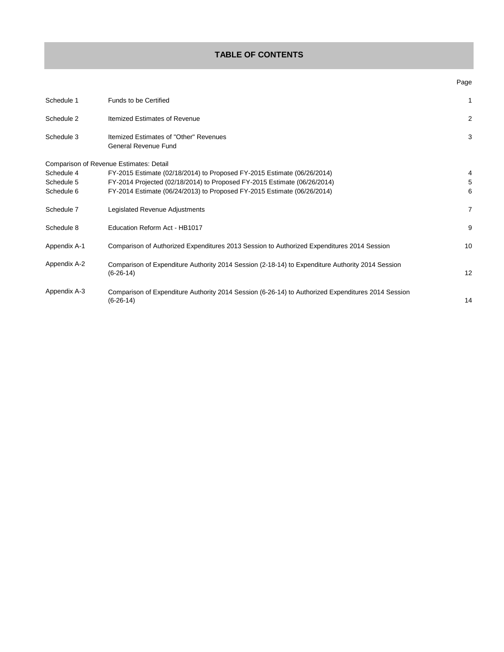# **TABLE OF CONTENTS**

| Schedule 1   | Funds to be Certified                                                                                             | 1              |
|--------------|-------------------------------------------------------------------------------------------------------------------|----------------|
| Schedule 2   | <b>Itemized Estimates of Revenue</b>                                                                              | $\overline{2}$ |
| Schedule 3   | Itemized Estimates of "Other" Revenues<br><b>General Revenue Fund</b>                                             | 3              |
|              | Comparison of Revenue Estimates: Detail                                                                           |                |
| Schedule 4   | FY-2015 Estimate (02/18/2014) to Proposed FY-2015 Estimate (06/26/2014)                                           | 4              |
| Schedule 5   | FY-2014 Projected (02/18/2014) to Proposed FY-2015 Estimate (06/26/2014)                                          | 5              |
| Schedule 6   | FY-2014 Estimate (06/24/2013) to Proposed FY-2015 Estimate (06/26/2014)                                           | 6              |
| Schedule 7   | Legislated Revenue Adjustments                                                                                    | 7              |
| Schedule 8   | Education Reform Act - HB1017                                                                                     | 9              |
| Appendix A-1 | Comparison of Authorized Expenditures 2013 Session to Authorized Expenditures 2014 Session                        | 10             |
| Appendix A-2 | Comparison of Expenditure Authority 2014 Session (2-18-14) to Expenditure Authority 2014 Session<br>$(6-26-14)$   | 12             |
| Appendix A-3 | Comparison of Expenditure Authority 2014 Session (6-26-14) to Authorized Expenditures 2014 Session<br>$(6-26-14)$ | 14             |

### Page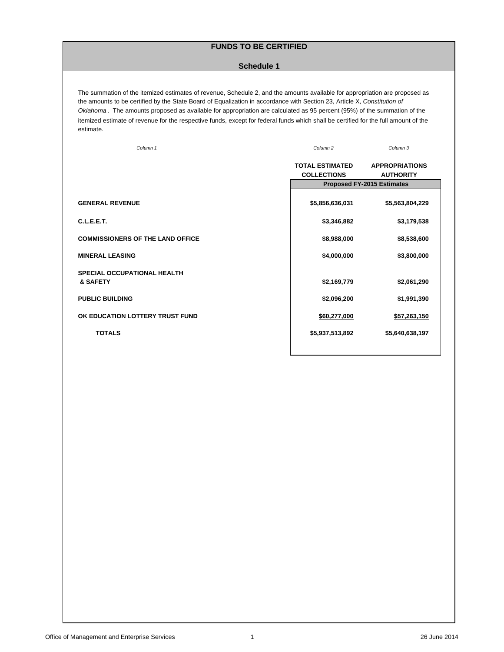# **FUNDS TO BE CERTIFIED**

#### **Schedule 1**

The summation of the itemized estimates of revenue, Schedule 2, and the amounts available for appropriation are proposed as the amounts to be certified by the State Board of Equalization in accordance with Section 23, Article X, *Constitution of Oklahoma* . The amounts proposed as available for appropriation are calculated as 95 percent (95%) of the summation of the itemized estimate of revenue for the respective funds, except for federal funds which shall be certified for the full amount of the estimate.

*Column 1 Column 2*

*Column 3*

|                                                | <b>TOTAL ESTIMATED</b><br><b>COLLECTIONS</b> | <b>APPROPRIATIONS</b><br><b>AUTHORITY</b> |
|------------------------------------------------|----------------------------------------------|-------------------------------------------|
|                                                | <b>Proposed FY-2015 Estimates</b>            |                                           |
| <b>GENERAL REVENUE</b>                         | \$5,856,636,031                              | \$5,563,804,229                           |
| C.L.E.E.T.                                     | \$3,346,882                                  | \$3,179,538                               |
| <b>COMMISSIONERS OF THE LAND OFFICE</b>        | \$8,988,000                                  | \$8,538,600                               |
| <b>MINERAL LEASING</b>                         | \$4,000,000                                  | \$3,800,000                               |
| <b>SPECIAL OCCUPATIONAL HEALTH</b><br>& SAFETY | \$2,169,779                                  | \$2,061,290                               |
| <b>PUBLIC BUILDING</b>                         | \$2,096,200                                  | \$1,991,390                               |
| OK EDUCATION LOTTERY TRUST FUND                | \$60,277,000                                 | \$57,263,150                              |
| <b>TOTALS</b>                                  | \$5,937,513,892                              | \$5,640,638,197                           |
|                                                |                                              |                                           |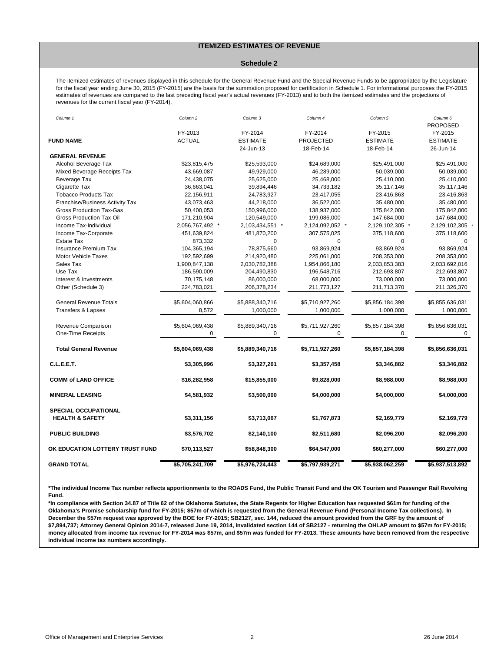#### **ITEMIZED ESTIMATES OF REVENUE**

#### **Schedule 2**

The itemized estimates of revenues displayed in this schedule for the General Revenue Fund and the Special Revenue Funds to be appropriated by the Legislature for the fiscal year ending June 30, 2015 (FY-2015) are the basis for the summation proposed for certification in Schedule 1. For informational purposes the FY-2015 estimates of revenues are compared to the last preceding fiscal year's actual revenues (FY-2013) and to both the itemized estimates and the projections of revenues for the current fiscal year (FY-2014).

| Column 1                        | Column 2        | Column 3        | Column 4         | Column 5        | Column 6<br><b>PROPOSED</b> |
|---------------------------------|-----------------|-----------------|------------------|-----------------|-----------------------------|
|                                 | FY-2013         | FY-2014         | FY-2014          | FY-2015         | FY-2015                     |
| <b>FUND NAME</b>                | <b>ACTUAL</b>   | <b>ESTIMATE</b> | <b>PROJECTED</b> | <b>ESTIMATE</b> | <b>ESTIMATE</b>             |
|                                 |                 | 24-Jun-13       | 18-Feb-14        | 18-Feb-14       | 26-Jun-14                   |
| <b>GENERAL REVENUE</b>          |                 |                 |                  |                 |                             |
| Alcohol Beverage Tax            | \$23,815,475    | \$25,593,000    | \$24,689,000     | \$25,491,000    | \$25,491,000                |
| Mixed Beverage Receipts Tax     | 43,669,087      | 49,929,000      | 46,289,000       | 50,039,000      | 50,039,000                  |
| Beverage Tax                    | 24,438,075      | 25,625,000      | 25,468,000       | 25,410,000      | 25,410,000                  |
| Cigarette Tax                   | 36,663,041      | 39,894,446      | 34,733,182       | 35,117,146      | 35,117,146                  |
| <b>Tobacco Products Tax</b>     | 22,156,911      | 24,783,927      | 23,417,055       | 23,416,863      | 23,416,863                  |
| Franchise/Business Activity Tax | 43,073,463      | 44,218,000      | 36,522,000       | 35,480,000      | 35,480,000                  |
| <b>Gross Production Tax-Gas</b> | 50,400,053      | 150,996,000     | 138,937,000      | 175,842,000     | 175,842,000                 |
| Gross Production Tax-Oil        | 171,210,904     | 120,549,000     | 199,086,000      | 147,684,000     | 147,684,000                 |
| Income Tax-Individual           | 2,056,767,492 * | 2,103,434,551 * | 2,124,092,052 *  | 2,129,102,305 * | 2,129,102,305               |
| Income Tax-Corporate            | 451,639,824     | 481,870,200     | 307,575,025      | 375,118,600     | 375,118,600                 |
| <b>Estate Tax</b>               | 873,332         | $\mathbf 0$     | $\mathbf 0$      | $\mathbf 0$     | $\Omega$                    |
| <b>Insurance Premium Tax</b>    | 104,365,194     | 78,875,660      | 93,869,924       | 93,869,924      | 93,869,924                  |
| <b>Motor Vehicle Taxes</b>      | 192,592,699     | 214,920,480     | 225,061,000      | 208,353,000     | 208,353,000                 |
| Sales Tax                       | 1,900,847,138   | 2,030,782,388   | 1,954,866,180    | 2,033,853,383   | 2,033,692,016               |
| Use Tax                         | 186,590,009     | 204,490,830     | 196,548,716      | 212,693,807     | 212,693,807                 |
| Interest & Investments          | 70,175,148      | 86,000,000      | 68,000,000       | 73,000,000      | 73,000,000                  |
| Other (Schedule 3)              | 224,783,021     | 206,378,234     | 211,773,127      | 211,713,370     | 211,326,370                 |
| <b>General Revenue Totals</b>   | \$5,604,060,866 | \$5,888,340,716 | \$5,710,927,260  | \$5,856,184,398 | \$5,855,636,031             |
| <b>Transfers &amp; Lapses</b>   | 8,572           | 1,000,000       | 1,000,000        | 1,000,000       | 1,000,000                   |
| Revenue Comparison              | \$5,604,069,438 | \$5,889,340,716 | \$5,711,927,260  | \$5,857,184,398 | \$5,856,636,031             |
| One-Time Receipts               | $\mathbf 0$     | 0               | 0                | $\Omega$        | $\Omega$                    |
| <b>Total General Revenue</b>    | \$5,604,069,438 | \$5,889,340,716 | \$5,711,927,260  | \$5,857,184,398 | \$5,856,636,031             |
| <b>C.L.E.E.T.</b>               | \$3,305,996     | \$3,327,261     | \$3,357,458      | \$3,346,882     | \$3,346,882                 |
| <b>COMM of LAND OFFICE</b>      | \$16,282,958    | \$15,855,000    | \$9,828,000      | \$8,988,000     | \$8,988,000                 |
| <b>MINERAL LEASING</b>          | \$4,581,932     | \$3,500,000     | \$4,000,000      | \$4,000,000     | \$4,000,000                 |
| <b>SPECIAL OCCUPATIONAL</b>     |                 |                 |                  |                 |                             |
| <b>HEALTH &amp; SAFETY</b>      | \$3,311,156     | \$3,713,067     | \$1,767,873      | \$2,169,779     | \$2,169,779                 |
| <b>PUBLIC BUILDING</b>          | \$3,576,702     | \$2,140,100     | \$2,511,680      | \$2,096,200     | \$2,096,200                 |
| OK EDUCATION LOTTERY TRUST FUND | \$70,113,527    | \$58,848,300    | \$64,547,000     | \$60,277,000    | \$60,277,000                |
| <b>GRAND TOTAL</b>              | \$5,705,241,709 | \$5,976,724,443 | \$5,797,939,271  | \$5,938,062,259 | \$5,937,513,892             |

**\*The individual Income Tax number reflects apportionments to the ROADS Fund, the Public Transit Fund and the OK Tourism and Passenger Rail Revolving Fund.**

**\*In compliance with Section 34.87 of Title 62 of the Oklahoma Statutes, the State Regents for Higher Education has requested \$61m for funding of the Oklahoma's Promise scholarship fund for FY-2015; \$57m of which is requested from the General Revenue Fund (Personal Income Tax collections). In December the \$57m request was approved by the BOE for FY-2015; SB2127, sec. 144, reduced the amount provided from the GRF by the amount of \$7,894,737; Attorney General Opinion 2014-7, released June 19, 2014, invalidated section 144 of SB2127 - returning the OHLAP amount to \$57m for FY-2015; money allocated from income tax revenue for FY-2014 was \$57m, and \$57m was funded for FY-2013. These amounts have been removed from the respective individual income tax numbers accordingly.**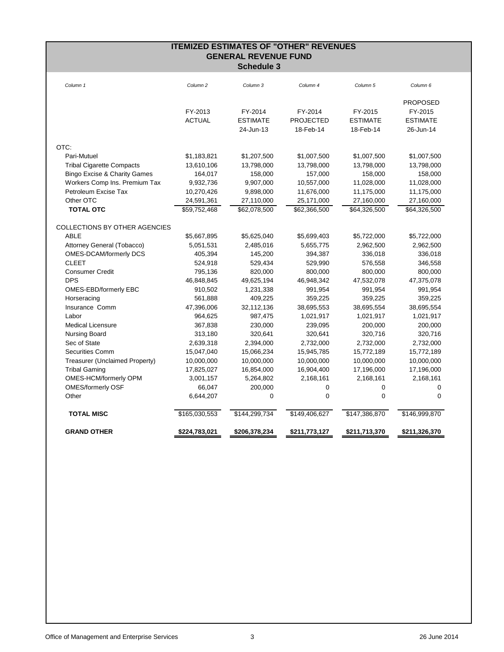| <b>ITEMIZED ESTIMATES OF "OTHER" REVENUES</b><br><b>GENERAL REVENUE FUND</b> |                     |                   |                  |                 |                 |
|------------------------------------------------------------------------------|---------------------|-------------------|------------------|-----------------|-----------------|
|                                                                              |                     | <b>Schedule 3</b> |                  |                 |                 |
| Column 1                                                                     | Column <sub>2</sub> | Column 3          | Column 4         | Column 5        | Column 6        |
|                                                                              |                     |                   |                  |                 | <b>PROPOSED</b> |
|                                                                              | FY-2013             | FY-2014           | FY-2014          | FY-2015         | FY-2015         |
|                                                                              | <b>ACTUAL</b>       | <b>ESTIMATE</b>   | <b>PROJECTED</b> | <b>ESTIMATE</b> | <b>ESTIMATE</b> |
|                                                                              |                     | 24-Jun-13         | 18-Feb-14        | 18-Feb-14       | 26-Jun-14       |
| OTC:                                                                         |                     |                   |                  |                 |                 |
| Pari-Mutuel                                                                  | \$1,183,821         | \$1,207,500       | \$1,007,500      | \$1,007,500     | \$1,007,500     |
| <b>Tribal Cigarette Compacts</b>                                             | 13,610,106          | 13,798,000        | 13,798,000       | 13,798,000      | 13,798,000      |
| <b>Bingo Excise &amp; Charity Games</b>                                      | 164,017             | 158,000           | 157,000          | 158,000         | 158,000         |
| Workers Comp Ins. Premium Tax                                                | 9,932,736           | 9,907,000         | 10,557,000       | 11,028,000      | 11,028,000      |
| Petroleum Excise Tax                                                         | 10,270,426          | 9,898,000         | 11,676,000       | 11,175,000      | 11,175,000      |
| Other OTC                                                                    | 24,591,361          | 27,110,000        | 25,171,000       | 27,160,000      | 27,160,000      |
| <b>TOTAL OTC</b>                                                             | \$59,752,468        | \$62,078,500      | \$62,366,500     | \$64,326,500    | \$64,326,500    |
| <b>COLLECTIONS BY OTHER AGENCIES</b>                                         |                     |                   |                  |                 |                 |
| <b>ABLE</b>                                                                  | \$5,667,895         | \$5,625,040       | \$5,699,403      | \$5,722,000     | \$5,722,000     |
| Attorney General (Tobacco)                                                   | 5,051,531           | 2,485,016         | 5,655,775        | 2,962,500       | 2,962,500       |
| OMES-DCAM/formerly DCS                                                       | 405,394             | 145,200           | 394,387          | 336,018         | 336,018         |
| <b>CLEET</b>                                                                 | 524,918             | 529,434           | 529,990          | 576,558         | 346,558         |
| <b>Consumer Credit</b>                                                       | 795,136             | 820,000           | 800,000          | 800,000         | 800,000         |
| <b>DPS</b>                                                                   | 46,848,845          | 49,625,194        | 46,948,342       | 47,532,078      | 47,375,078      |
| OMES-EBD/formerly EBC                                                        | 910,502             | 1,231,338         | 991,954          | 991,954         | 991,954         |
| Horseracing                                                                  | 561,888             | 409,225           | 359,225          | 359,225         | 359,225         |
| Insurance Comm                                                               | 47,396,006          | 32,112,136        | 38,695,553       | 38,695,554      | 38,695,554      |
| Labor                                                                        | 964,625             | 987,475           | 1,021,917        | 1,021,917       | 1,021,917       |
| <b>Medical Licensure</b>                                                     | 367,838             | 230,000           | 239,095          | 200,000         | 200,000         |
| Nursing Board                                                                | 313,180             | 320,641           | 320,641          | 320,716         | 320,716         |
| Sec of State                                                                 | 2,639,318           | 2,394,000         | 2,732,000        | 2,732,000       | 2,732,000       |
| Securities Comm                                                              | 15,047,040          | 15,066,234        | 15,945,785       | 15,772,189      | 15,772,189      |
| Treasurer (Unclaimed Property)                                               | 10,000,000          | 10,000,000        | 10,000,000       | 10,000,000      | 10,000,000      |
| <b>Tribal Gaming</b>                                                         | 17,825,027          | 16,854,000        | 16,904,400       | 17,196,000      | 17,196,000      |
| OMES-HCM/formerly OPM                                                        | 3,001,157           | 5,264,802         | 2,168,161        | 2,168,161       | 2,168,161       |
| <b>OMES/formerly OSF</b>                                                     | 66,047              | 200,000           | 0                | 0               | 0               |
| Other                                                                        | 6,644,207           | 0                 | $\mathbf 0$      | $\mathbf 0$     | $\mathbf 0$     |
| <b>TOTAL MISC</b>                                                            | \$165,030,553       | \$144,299,734     | \$149,406,627    | \$147,386,870   | \$146,999,870   |
| <b>GRAND OTHER</b>                                                           | \$224,783,021       | \$206,378,234     | \$211,773,127    | \$211,713,370   | \$211,326,370   |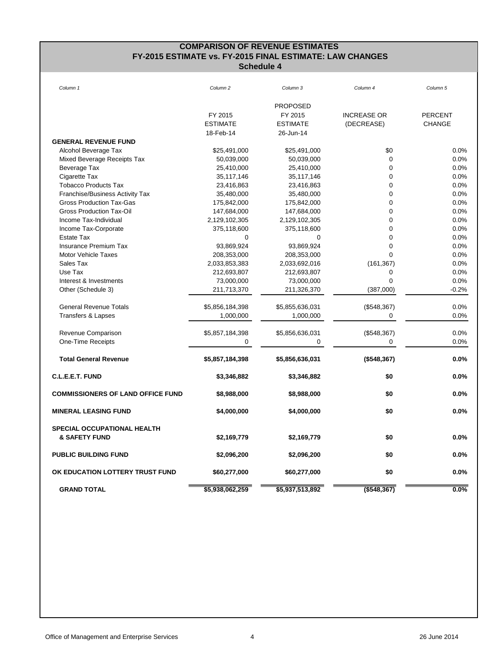# **COMPARISON OF REVENUE ESTIMATES FY-2015 ESTIMATE vs. FY-2015 FINAL ESTIMATE: LAW CHANGES Schedule 4**

| Column 1                                 | Column <sub>2</sub> | Column 3        | Column 4           | Column <sub>5</sub> |
|------------------------------------------|---------------------|-----------------|--------------------|---------------------|
|                                          |                     | <b>PROPOSED</b> |                    |                     |
|                                          | FY 2015             | FY 2015         | <b>INCREASE OR</b> | <b>PERCENT</b>      |
|                                          | <b>ESTIMATE</b>     | <b>ESTIMATE</b> | (DECREASE)         | <b>CHANGE</b>       |
|                                          | 18-Feb-14           | 26-Jun-14       |                    |                     |
| <b>GENERAL REVENUE FUND</b>              |                     |                 |                    |                     |
| Alcohol Beverage Tax                     | \$25,491,000        | \$25,491,000    | \$0                | 0.0%                |
| Mixed Beverage Receipts Tax              | 50,039,000          | 50,039,000      | $\mathbf 0$        | 0.0%                |
| Beverage Tax                             | 25,410,000          | 25,410,000      | $\mathbf 0$        | 0.0%                |
| Cigarette Tax                            | 35,117,146          | 35,117,146      | $\mathbf 0$        | 0.0%                |
| <b>Tobacco Products Tax</b>              | 23,416,863          | 23,416,863      | $\mathbf 0$        | 0.0%                |
| Franchise/Business Activity Tax          | 35,480,000          | 35,480,000      | $\mathbf 0$        | 0.0%                |
| <b>Gross Production Tax-Gas</b>          | 175,842,000         | 175,842,000     | $\mathbf 0$        | 0.0%                |
| <b>Gross Production Tax-Oil</b>          | 147,684,000         | 147,684,000     | $\mathbf 0$        | 0.0%                |
| Income Tax-Individual                    | 2,129,102,305       | 2,129,102,305   | $\mathbf 0$        | 0.0%                |
| Income Tax-Corporate                     | 375,118,600         | 375,118,600     | $\mathbf 0$        | 0.0%                |
| <b>Estate Tax</b>                        | $\mathbf 0$         | $\Omega$        | $\mathbf 0$        | 0.0%                |
| <b>Insurance Premium Tax</b>             | 93,869,924          | 93,869,924      | $\mathbf 0$        | 0.0%                |
| Motor Vehicle Taxes                      | 208,353,000         | 208,353,000     | $\Omega$           | 0.0%                |
| Sales Tax                                | 2,033,853,383       | 2,033,692,016   | (161, 367)         | 0.0%                |
| Use Tax                                  | 212,693,807         | 212,693,807     | 0                  | 0.0%                |
| Interest & Investments                   | 73,000,000          | 73,000,000      | $\mathbf 0$        | 0.0%                |
| Other (Schedule 3)                       | 211,713,370         | 211,326,370     | (387,000)          | $-0.2%$             |
| <b>General Revenue Totals</b>            | \$5,856,184,398     | \$5,855,636,031 | (\$548,367)        | 0.0%                |
| <b>Transfers &amp; Lapses</b>            | 1,000,000           | 1,000,000       | 0                  | 0.0%                |
| Revenue Comparison                       | \$5,857,184,398     | \$5,856,636,031 | (\$548,367)        | 0.0%                |
| One-Time Receipts                        | 0                   | $\Omega$        | 0                  | $0.0\%$             |
| <b>Total General Revenue</b>             | \$5,857,184,398     | \$5,856,636,031 | (\$548,367)        | 0.0%                |
| C.L.E.E.T. FUND                          | \$3,346,882         | \$3,346,882     | \$0                | 0.0%                |
| <b>COMMISSIONERS OF LAND OFFICE FUND</b> | \$8,988,000         | \$8,988,000     | \$0                | 0.0%                |
| <b>MINERAL LEASING FUND</b>              | \$4,000,000         | \$4,000,000     | \$0                | 0.0%                |
| <b>SPECIAL OCCUPATIONAL HEALTH</b>       |                     |                 |                    |                     |
| <b>&amp; SAFETY FUND</b>                 | \$2,169,779         | \$2,169,779     | \$0                | 0.0%                |
| <b>PUBLIC BUILDING FUND</b>              | \$2,096,200         | \$2,096,200     | \$0                | 0.0%                |
| OK EDUCATION LOTTERY TRUST FUND          | \$60,277,000        | \$60,277,000    | \$0                | 0.0%                |
| <b>GRAND TOTAL</b>                       | \$5,938,062,259     | \$5,937,513,892 | $($ \$548,367)     | $0.0\%$             |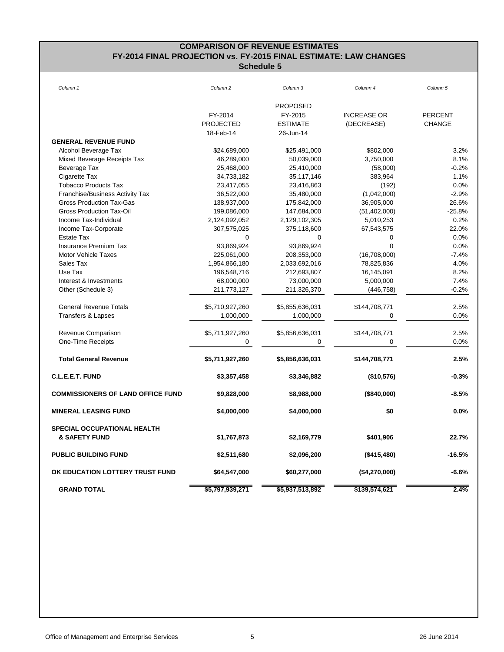# **COMPARISON OF REVENUE ESTIMATES FY-2014 FINAL PROJECTION vs. FY-2015 FINAL ESTIMATE: LAW CHANGES Schedule 5**

| Column <sub>1</sub>                                     | Column <sub>2</sub> | Column 3        | Column 4           | Column <sub>5</sub> |
|---------------------------------------------------------|---------------------|-----------------|--------------------|---------------------|
|                                                         |                     | <b>PROPOSED</b> |                    |                     |
|                                                         | FY-2014             | FY-2015         | <b>INCREASE OR</b> | <b>PERCENT</b>      |
|                                                         | <b>PROJECTED</b>    | <b>ESTIMATE</b> | (DECREASE)         | <b>CHANGE</b>       |
|                                                         | 18-Feb-14           | 26-Jun-14       |                    |                     |
| <b>GENERAL REVENUE FUND</b>                             |                     |                 |                    |                     |
| Alcohol Beverage Tax                                    | \$24,689,000        | \$25,491,000    | \$802,000          | 3.2%                |
| Mixed Beverage Receipts Tax                             | 46,289,000          | 50,039,000      | 3,750,000          | 8.1%                |
| Beverage Tax                                            | 25,468,000          | 25,410,000      | (58,000)           | $-0.2%$             |
| Cigarette Tax                                           | 34,733,182          | 35,117,146      | 383,964            | 1.1%                |
| <b>Tobacco Products Tax</b>                             | 23,417,055          | 23,416,863      | (192)              | 0.0%                |
| Franchise/Business Activity Tax                         | 36,522,000          | 35,480,000      | (1,042,000)        | $-2.9%$             |
| <b>Gross Production Tax-Gas</b>                         | 138,937,000         | 175,842,000     | 36,905,000         | 26.6%               |
| Gross Production Tax-Oil                                | 199,086,000         | 147,684,000     |                    | $-25.8%$            |
| Income Tax-Individual                                   |                     |                 | (51, 402, 000)     | 0.2%                |
|                                                         | 2,124,092,052       | 2,129,102,305   | 5,010,253          | 22.0%               |
| Income Tax-Corporate                                    | 307,575,025         | 375,118,600     | 67,543,575         |                     |
| <b>Estate Tax</b>                                       | $\mathbf 0$         | $\mathbf 0$     | 0                  | 0.0%                |
| <b>Insurance Premium Tax</b>                            | 93,869,924          | 93,869,924      | $\mathbf 0$        | 0.0%                |
| <b>Motor Vehicle Taxes</b>                              | 225,061,000         | 208,353,000     | (16,708,000)       | $-7.4%$             |
| Sales Tax                                               | 1,954,866,180       | 2,033,692,016   | 78,825,836         | 4.0%                |
| Use Tax                                                 | 196,548,716         | 212,693,807     | 16,145,091         | 8.2%                |
| Interest & Investments                                  | 68,000,000          | 73,000,000      | 5,000,000          | 7.4%                |
| Other (Schedule 3)                                      | 211,773,127         | 211,326,370     | (446, 758)         | $-0.2%$             |
| <b>General Revenue Totals</b>                           | \$5,710,927,260     | \$5,855,636,031 | \$144,708,771      | 2.5%                |
| <b>Transfers &amp; Lapses</b>                           | 1,000,000           | 1,000,000       | $\mathbf 0$        | 0.0%                |
| Revenue Comparison                                      | \$5,711,927,260     | \$5,856,636,031 | \$144,708,771      | 2.5%                |
| One-Time Receipts                                       | $\Omega$            | $\Omega$        | 0                  | 0.0%                |
| <b>Total General Revenue</b>                            | \$5,711,927,260     | \$5,856,636,031 | \$144,708,771      | 2.5%                |
| C.L.E.E.T. FUND                                         | \$3,357,458         | \$3,346,882     | (\$10,576)         | $-0.3%$             |
| <b>COMMISSIONERS OF LAND OFFICE FUND</b>                | \$9,828,000         | \$8,988,000     | (\$840,000)        | $-8.5%$             |
| <b>MINERAL LEASING FUND</b>                             | \$4,000,000         | \$4,000,000     | \$0                | 0.0%                |
| SPECIAL OCCUPATIONAL HEALTH<br><b>&amp; SAFETY FUND</b> | \$1,767,873         | \$2,169,779     | \$401,906          | 22.7%               |
| <b>PUBLIC BUILDING FUND</b>                             | \$2,511,680         | \$2,096,200     | (\$415,480)        | $-16.5%$            |
| OK EDUCATION LOTTERY TRUST FUND                         | \$64,547,000        | \$60,277,000    | (\$4,270,000)      | -6.6%               |
| <b>GRAND TOTAL</b>                                      | \$5,797,939,271     | \$5,937,513,892 | \$139,574,621      | 2.4%                |
|                                                         |                     |                 |                    |                     |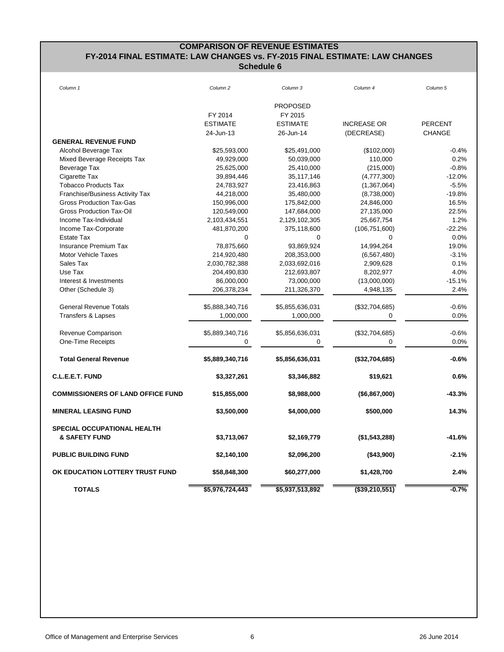# **COMPARISON OF REVENUE ESTIMATES FY-2014 FINAL ESTIMATE: LAW CHANGES vs. FY-2015 FINAL ESTIMATE: LAW CHANGES Schedule 6**

| Column 1                                 | Column <sub>2</sub> | Column 3        | Column 4           | Column 5       |
|------------------------------------------|---------------------|-----------------|--------------------|----------------|
|                                          |                     | <b>PROPOSED</b> |                    |                |
|                                          | FY 2014             | FY 2015         |                    |                |
|                                          | <b>ESTIMATE</b>     | <b>ESTIMATE</b> | <b>INCREASE OR</b> | <b>PERCENT</b> |
|                                          | 24-Jun-13           | 26-Jun-14       | (DECREASE)         | <b>CHANGE</b>  |
| <b>GENERAL REVENUE FUND</b>              |                     |                 |                    |                |
| Alcohol Beverage Tax                     | \$25,593,000        | \$25,491,000    | (\$102,000)        | $-0.4%$        |
| Mixed Beverage Receipts Tax              | 49,929,000          | 50,039,000      | 110,000            | 0.2%           |
| Beverage Tax                             | 25,625,000          | 25,410,000      | (215,000)          | $-0.8%$        |
| Cigarette Tax                            | 39,894,446          | 35,117,146      | (4,777,300)        | $-12.0%$       |
| <b>Tobacco Products Tax</b>              | 24,783,927          | 23,416,863      | (1,367,064)        | $-5.5%$        |
| <b>Franchise/Business Activity Tax</b>   | 44,218,000          | 35,480,000      | (8,738,000)        | $-19.8%$       |
| <b>Gross Production Tax-Gas</b>          | 150,996,000         | 175,842,000     | 24,846,000         | 16.5%          |
| Gross Production Tax-Oil                 | 120,549,000         | 147,684,000     | 27,135,000         | 22.5%          |
| Income Tax-Individual                    | 2,103,434,551       | 2,129,102,305   | 25,667,754         | 1.2%           |
| Income Tax-Corporate                     | 481,870,200         | 375,118,600     | (106, 751, 600)    | $-22.2%$       |
| <b>Estate Tax</b>                        | $\mathbf 0$         | $\mathbf 0$     | $\mathbf 0$        | 0.0%           |
| <b>Insurance Premium Tax</b>             | 78,875,660          | 93,869,924      | 14,994,264         | 19.0%          |
| <b>Motor Vehicle Taxes</b>               | 214,920,480         | 208,353,000     | (6, 567, 480)      | $-3.1%$        |
| Sales Tax                                | 2,030,782,388       | 2,033,692,016   | 2,909,628          | 0.1%           |
| Use Tax                                  | 204,490,830         | 212,693,807     | 8,202,977          | 4.0%           |
| Interest & Investments                   | 86,000,000          | 73,000,000      | (13,000,000)       | $-15.1%$       |
| Other (Schedule 3)                       | 206,378,234         | 211,326,370     | 4,948,135          | 2.4%           |
| <b>General Revenue Totals</b>            | \$5,888,340,716     | \$5,855,636,031 | (\$32,704,685)     | $-0.6%$        |
| <b>Transfers &amp; Lapses</b>            | 1,000,000           | 1,000,000       | 0                  | 0.0%           |
| Revenue Comparison                       | \$5,889,340,716     | \$5,856,636,031 | (\$32,704,685)     | $-0.6%$        |
| One-Time Receipts                        | $\Omega$            | 0               | $\Omega$           | $0.0\%$        |
| <b>Total General Revenue</b>             | \$5,889,340,716     | \$5,856,636,031 | (\$32,704,685)     | $-0.6%$        |
| C.L.E.E.T. FUND                          | \$3,327,261         | \$3,346,882     | \$19,621           | 0.6%           |
| <b>COMMISSIONERS OF LAND OFFICE FUND</b> | \$15,855,000        | \$8,988,000     | (\$6,867,000)      | $-43.3%$       |
| <b>MINERAL LEASING FUND</b>              | \$3,500,000         | \$4,000,000     | \$500,000          | 14.3%          |
| <b>SPECIAL OCCUPATIONAL HEALTH</b>       |                     |                 |                    |                |
| <b>&amp; SAFETY FUND</b>                 | \$3,713,067         | \$2,169,779     | (\$1,543,288)      | $-41.6%$       |
| <b>PUBLIC BUILDING FUND</b>              | \$2,140,100         | \$2,096,200     | (\$43,900)         | $-2.1%$        |
| OK EDUCATION LOTTERY TRUST FUND          | \$58,848,300        | \$60,277,000    | \$1,428,700        | 2.4%           |
| <b>TOTALS</b>                            | \$5,976,724,443     | \$5,937,513,892 | $($ \$39,210,551)  | $-0.7%$        |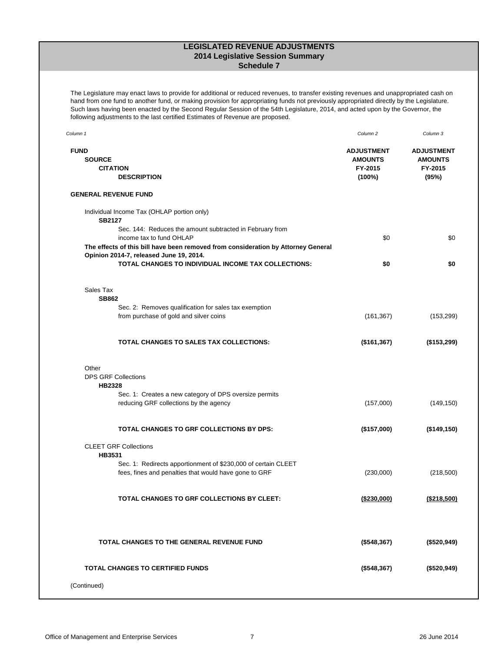## **LEGISLATED REVENUE ADJUSTMENTS 2014 Legislative Session Summary Schedule 7**

The Legislature may enact laws to provide for additional or reduced revenues, to transfer existing revenues and unappropriated cash on hand from one fund to another fund, or making provision for appropriating funds not previously appropriated directly by the Legislature. Such laws having been enacted by the Second Regular Session of the 54th Legislature, 2014, and acted upon by the Governor, the following adjustments to the last certified Estimates of Revenue are proposed.

| Column 1                                                                                                                                                 | Column <sub>2</sub>                                      | Column 3                                                |
|----------------------------------------------------------------------------------------------------------------------------------------------------------|----------------------------------------------------------|---------------------------------------------------------|
| <b>FUND</b><br><b>SOURCE</b><br><b>CITATION</b><br><b>DESCRIPTION</b>                                                                                    | <b>ADJUSTMENT</b><br><b>AMOUNTS</b><br>FY-2015<br>(100%) | <b>ADJUSTMENT</b><br><b>AMOUNTS</b><br>FY-2015<br>(95%) |
| <b>GENERAL REVENUE FUND</b>                                                                                                                              |                                                          |                                                         |
| Individual Income Tax (OHLAP portion only)<br><b>SB2127</b><br>Sec. 144: Reduces the amount subtracted in February from                                  |                                                          |                                                         |
| income tax to fund OHLAP<br>The effects of this bill have been removed from consideration by Attorney General<br>Opinion 2014-7, released June 19, 2014. | \$0                                                      | \$0                                                     |
| <b>TOTAL CHANGES TO INDIVIDUAL INCOME TAX COLLECTIONS:</b>                                                                                               | \$0                                                      | \$0                                                     |
| Sales Tax<br><b>SB862</b>                                                                                                                                |                                                          |                                                         |
| Sec. 2: Removes qualification for sales tax exemption<br>from purchase of gold and silver coins                                                          | (161, 367)                                               | (153, 299)                                              |
| TOTAL CHANGES TO SALES TAX COLLECTIONS:                                                                                                                  | (\$161,367)                                              | $($ \$153,299)                                          |
| Other<br><b>DPS GRF Collections</b><br><b>HB2328</b>                                                                                                     |                                                          |                                                         |
| Sec. 1: Creates a new category of DPS oversize permits<br>reducing GRF collections by the agency                                                         | (157,000)                                                | (149, 150)                                              |
| <b>TOTAL CHANGES TO GRF COLLECTIONS BY DPS:</b>                                                                                                          | (\$157,000)                                              | (\$149, 150)                                            |
| <b>CLEET GRF Collections</b><br>HB3531                                                                                                                   |                                                          |                                                         |
| Sec. 1: Redirects apportionment of \$230,000 of certain CLEET<br>fees, fines and penalties that would have gone to GRF                                   | (230,000)                                                | (218,500)                                               |
| TOTAL CHANGES TO GRF COLLECTIONS BY CLEET:                                                                                                               | (\$230,000)                                              | ( \$218, 500)                                           |
| TOTAL CHANGES TO THE GENERAL REVENUE FUND                                                                                                                | (\$548,367)                                              | (\$520,949)                                             |
| <b>TOTAL CHANGES TO CERTIFIED FUNDS</b>                                                                                                                  | (\$548,367)                                              | (\$520,949)                                             |
| (Continued)                                                                                                                                              |                                                          |                                                         |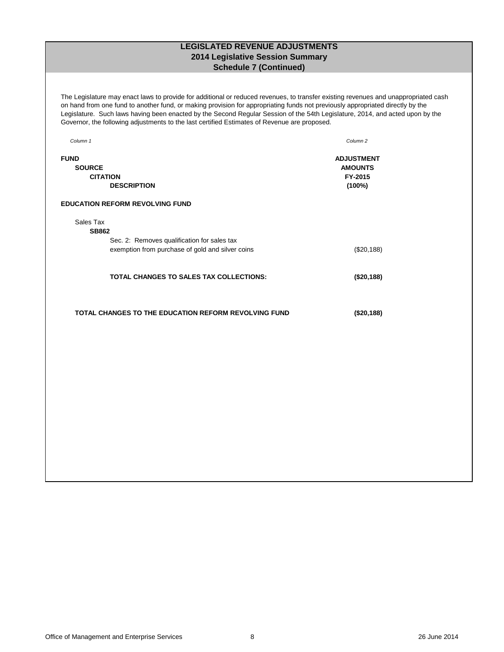# **LEGISLATED REVENUE ADJUSTMENTS 2014 Legislative Session Summary Schedule 7 (Continued)**

The Legislature may enact laws to provide for additional or reduced revenues, to transfer existing revenues and unappropriated cash on hand from one fund to another fund, or making provision for appropriating funds not previously appropriated directly by the Legislature. Such laws having been enacted by the Second Regular Session of the 54th Legislature, 2014, and acted upon by the Governor, the following adjustments to the last certified Estimates of Revenue are proposed.

| Column 1                                                                                                                     | Column <sub>2</sub>                                      |
|------------------------------------------------------------------------------------------------------------------------------|----------------------------------------------------------|
| <b>FUND</b><br><b>SOURCE</b><br><b>CITATION</b><br><b>DESCRIPTION</b>                                                        | <b>ADJUSTMENT</b><br><b>AMOUNTS</b><br>FY-2015<br>(100%) |
| <b>EDUCATION REFORM REVOLVING FUND</b>                                                                                       |                                                          |
| Sales Tax<br><b>SB862</b><br>Sec. 2: Removes qualification for sales tax<br>exemption from purchase of gold and silver coins | (\$20,188)                                               |
| <b>TOTAL CHANGES TO SALES TAX COLLECTIONS:</b>                                                                               | (\$20,188)                                               |
| <b>TOTAL CHANGES TO THE EDUCATION REFORM REVOLVING FUND</b>                                                                  | (\$20,188)                                               |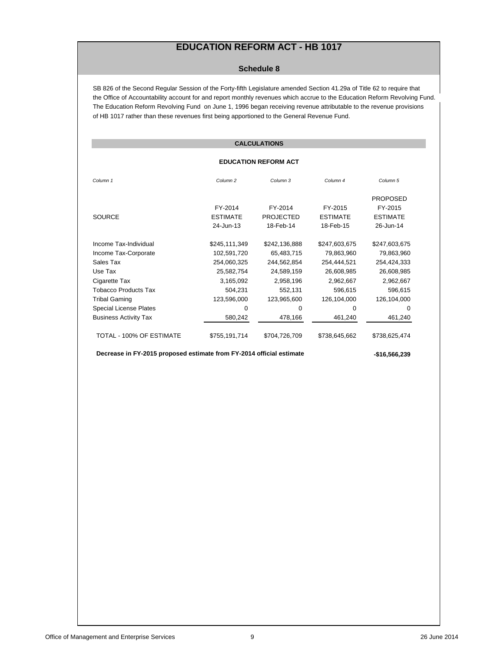# **EDUCATION REFORM ACT - HB 1017**

#### **Schedule 8**

SB 826 of the Second Regular Session of the Forty-fifth Legislature amended Section 41.29a of Title 62 to require that the Office of Accountability account for and report monthly revenues which accrue to the Education Reform Revolving Fund. The Education Reform Revolving Fund on June 1, 1996 began receiving revenue attributable to the revenue provisions of HB 1017 rather than these revenues first being apportioned to the General Revenue Fund.

## **CALCULATIONS**

#### **EDUCATION REFORM ACT**

| Column <sub>1</sub>           | Column <sub>2</sub> | Column 3         | Column <sub>4</sub> | Column <sub>5</sub> |
|-------------------------------|---------------------|------------------|---------------------|---------------------|
|                               |                     |                  |                     | <b>PROPOSED</b>     |
|                               | FY-2014             | FY-2014          | FY-2015             | FY-2015             |
| <b>SOURCE</b>                 | <b>ESTIMATE</b>     | <b>PROJECTED</b> | <b>ESTIMATE</b>     | <b>ESTIMATE</b>     |
|                               | 24-Jun-13           | 18-Feb-14        | 18-Feb-15           | 26-Jun-14           |
|                               |                     |                  |                     |                     |
| Income Tax-Individual         | \$245,111,349       | \$242,136,888    | \$247,603,675       | \$247,603,675       |
| Income Tax-Corporate          | 102,591,720         | 65,483,715       | 79,863,960          | 79,863,960          |
| Sales Tax                     | 254,060,325         | 244,562,854      | 254,444,521         | 254,424,333         |
| Use Tax                       | 25,582,754          | 24,589,159       | 26,608,985          | 26,608,985          |
| Cigarette Tax                 | 3,165,092           | 2,958,196        | 2,962,667           | 2,962,667           |
| <b>Tobacco Products Tax</b>   | 504,231             | 552,131          | 596,615             | 596,615             |
| <b>Tribal Gaming</b>          | 123,596,000         | 123,965,600      | 126,104,000         | 126,104,000         |
| <b>Special License Plates</b> | 0                   | 0                | 0                   | $\Omega$            |
| <b>Business Activity Tax</b>  | 580,242             | 478,166          | 461,240             | 461,240             |
| TOTAL - 100% OF ESTIMATE      | \$755,191,714       | \$704,726,709    | \$738,645,662       | \$738,625,474       |

 **Decrease in FY-2015 proposed estimate from FY-2014 official estimate -\$16,566,239**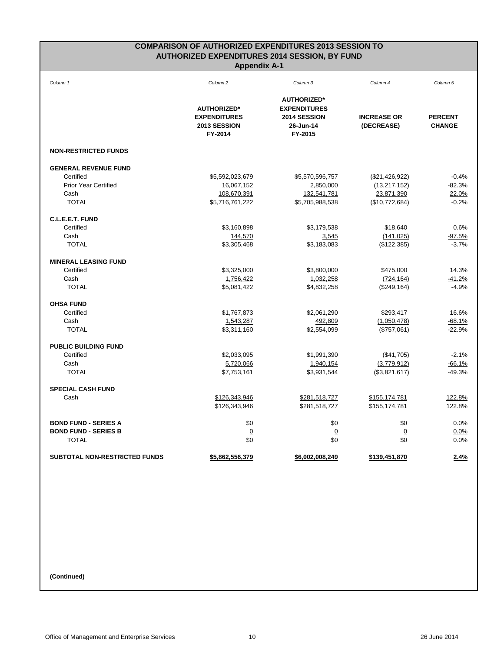# **COMPARISON OF AUTHORIZED EXPENDITURES 2013 SESSION TO AUTHORIZED EXPENDITURES 2014 SESSION, BY FUND Appendix A-1**

| Column 1                             | Column <sub>2</sub> | Column 3            | Column 4           | Column 5       |
|--------------------------------------|---------------------|---------------------|--------------------|----------------|
|                                      |                     | <b>AUTHORIZED*</b>  |                    |                |
|                                      | <b>AUTHORIZED*</b>  | <b>EXPENDITURES</b> |                    |                |
|                                      | <b>EXPENDITURES</b> | 2014 SESSION        | <b>INCREASE OR</b> | <b>PERCENT</b> |
|                                      | 2013 SESSION        | 26-Jun-14           | (DECREASE)         | <b>CHANGE</b>  |
|                                      | FY-2014             | FY-2015             |                    |                |
| <b>NON-RESTRICTED FUNDS</b>          |                     |                     |                    |                |
| <b>GENERAL REVENUE FUND</b>          |                     |                     |                    |                |
| Certified                            | \$5,592,023,679     | \$5,570,596,757     | (\$21,426,922)     | $-0.4%$        |
| <b>Prior Year Certified</b>          | 16,067,152          | 2,850,000           | (13, 217, 152)     | $-82.3%$       |
| Cash                                 | 108,670,391         | 132,541,781         | 23,871,390         | 22.0%          |
| <b>TOTAL</b>                         | \$5,716,761,222     | \$5,705,988,538     | (\$10,772,684)     | $-0.2%$        |
| C.L.E.E.T. FUND                      |                     |                     |                    |                |
| Certified                            | \$3,160,898         | \$3,179,538         | \$18,640           | 0.6%           |
| Cash                                 | 144,570             | 3,545               | (141, 025)         | $-97.5%$       |
| <b>TOTAL</b>                         | \$3,305,468         | \$3,183,083         | (\$122,385)        | $-3.7%$        |
| <b>MINERAL LEASING FUND</b>          |                     |                     |                    |                |
| Certified                            | \$3,325,000         | \$3,800,000         | \$475,000          | 14.3%          |
| Cash                                 | 1,756,422           | 1,032,258           | (724, 164)         | $-41.2%$       |
| <b>TOTAL</b>                         | \$5,081,422         | \$4,832,258         | (\$249, 164)       | $-4.9%$        |
| <b>OHSA FUND</b>                     |                     |                     |                    |                |
| Certified                            | \$1,767,873         | \$2,061,290         | \$293,417          | 16.6%          |
| Cash                                 | 1,543,287           | 492,809             | (1,050,478)        | $-68.1%$       |
| <b>TOTAL</b>                         | \$3,311,160         | \$2,554,099         | (\$757,061)        | $-22.9%$       |
| <b>PUBLIC BUILDING FUND</b>          |                     |                     |                    |                |
| Certified                            | \$2,033,095         | \$1,991,390         | (\$41,705)         | $-2.1%$        |
| Cash                                 | 5,720,066           | 1,940,154           | (3,779,912)        | $-66.1%$       |
| <b>TOTAL</b>                         | \$7,753,161         | \$3,931,544         | (\$3,821,617)      | $-49.3%$       |
| <b>SPECIAL CASH FUND</b>             |                     |                     |                    |                |
| Cash                                 | \$126,343,946       | \$281,518,727       | \$155,174,781      | 122.8%         |
|                                      | \$126,343,946       | \$281,518,727       | \$155,174,781      | 122.8%         |
| <b>BOND FUND - SERIES A</b>          | \$0                 | \$0                 | \$0                | 0.0%           |
| <b>BOND FUND - SERIES B</b>          | $\overline{0}$      | $\overline{0}$      | $\overline{0}$     | 0.0%           |
| <b>TOTAL</b>                         | \$0                 | \$0                 | \$0                | 0.0%           |
| <b>SUBTOTAL NON-RESTRICTED FUNDS</b> | \$5,862,556,379     | \$6,002,008,249     | \$139,451,870      | 2.4%           |

**(Continued)**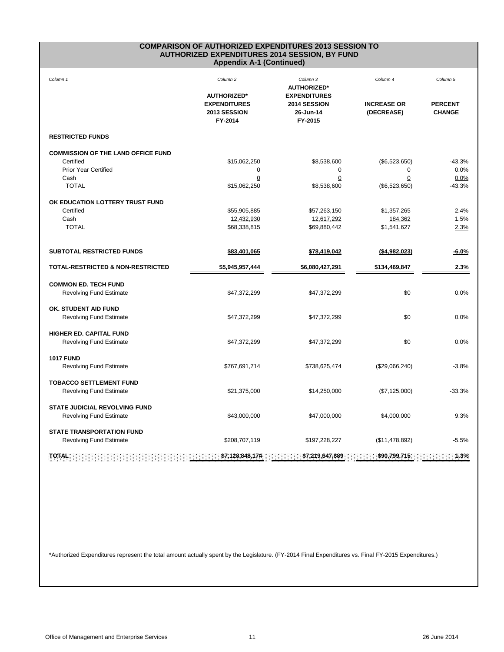#### **COMPARISON OF AUTHORIZED EXPENDITURES 2013 SESSION TO AUTHORIZED EXPENDITURES 2014 SESSION, BY FUND Appendix A-1 (Continued)**

| Column 1                                                                                                                                                                                                                                                                                                                                                                                              | Column <sub>2</sub><br><b>AUTHORIZED*</b>      | Column 3<br><b>AUTHORIZED*</b><br><b>EXPENDITURES</b> | Column 4                         | Column 5                        |  |
|-------------------------------------------------------------------------------------------------------------------------------------------------------------------------------------------------------------------------------------------------------------------------------------------------------------------------------------------------------------------------------------------------------|------------------------------------------------|-------------------------------------------------------|----------------------------------|---------------------------------|--|
|                                                                                                                                                                                                                                                                                                                                                                                                       | <b>EXPENDITURES</b><br>2013 SESSION<br>FY-2014 | 2014 SESSION<br>26-Jun-14<br>FY-2015                  | <b>INCREASE OR</b><br>(DECREASE) | <b>PERCENT</b><br><b>CHANGE</b> |  |
| <b>RESTRICTED FUNDS</b>                                                                                                                                                                                                                                                                                                                                                                               |                                                |                                                       |                                  |                                 |  |
| <b>COMMISSION OF THE LAND OFFICE FUND</b>                                                                                                                                                                                                                                                                                                                                                             |                                                |                                                       |                                  |                                 |  |
| Certified                                                                                                                                                                                                                                                                                                                                                                                             | \$15,062,250                                   | \$8,538,600                                           | (\$6,523,650)                    | $-43.3%$                        |  |
| <b>Prior Year Certified</b>                                                                                                                                                                                                                                                                                                                                                                           | 0                                              | $\mathbf 0$                                           | $\mathbf 0$                      | 0.0%                            |  |
| Cash                                                                                                                                                                                                                                                                                                                                                                                                  | 0                                              | $\pmb{0}$                                             | $\mathbf 0$                      | 0.0%                            |  |
| <b>TOTAL</b>                                                                                                                                                                                                                                                                                                                                                                                          | \$15,062,250                                   | \$8,538,600                                           | (\$6,523,650)                    | $-43.3%$                        |  |
| OK EDUCATION LOTTERY TRUST FUND                                                                                                                                                                                                                                                                                                                                                                       |                                                |                                                       |                                  |                                 |  |
| Certified                                                                                                                                                                                                                                                                                                                                                                                             | \$55,905,885                                   | \$57,263,150                                          | \$1,357,265                      | 2.4%                            |  |
| Cash                                                                                                                                                                                                                                                                                                                                                                                                  | 12,432,930                                     | 12,617,292                                            | 184,362                          | 1.5%                            |  |
| <b>TOTAL</b>                                                                                                                                                                                                                                                                                                                                                                                          | \$68,338,815                                   | \$69,880,442                                          | \$1,541,627                      | 2.3%                            |  |
|                                                                                                                                                                                                                                                                                                                                                                                                       |                                                |                                                       |                                  |                                 |  |
| <b>SUBTOTAL RESTRICTED FUNDS</b>                                                                                                                                                                                                                                                                                                                                                                      | \$83,401,065                                   | \$78,419,042                                          | ( \$4,982,023)                   | $-6.0%$                         |  |
| <b>TOTAL-RESTRICTED &amp; NON-RESTRICTED</b>                                                                                                                                                                                                                                                                                                                                                          | \$5,945,957,444                                | \$6,080,427,291                                       | \$134,469,847                    | 2.3%                            |  |
| <b>COMMON ED. TECH FUND</b>                                                                                                                                                                                                                                                                                                                                                                           |                                                |                                                       |                                  |                                 |  |
| <b>Revolving Fund Estimate</b>                                                                                                                                                                                                                                                                                                                                                                        | \$47,372,299                                   | \$47,372,299                                          | \$0                              | 0.0%                            |  |
| OK. STUDENT AID FUND                                                                                                                                                                                                                                                                                                                                                                                  |                                                |                                                       |                                  |                                 |  |
| <b>Revolving Fund Estimate</b>                                                                                                                                                                                                                                                                                                                                                                        | \$47,372,299                                   | \$47,372,299                                          | \$0                              | 0.0%                            |  |
| <b>HIGHER ED. CAPITAL FUND</b>                                                                                                                                                                                                                                                                                                                                                                        |                                                |                                                       |                                  |                                 |  |
| <b>Revolving Fund Estimate</b>                                                                                                                                                                                                                                                                                                                                                                        | \$47,372,299                                   | \$47,372,299                                          | \$0                              | 0.0%                            |  |
| <b>1017 FUND</b>                                                                                                                                                                                                                                                                                                                                                                                      |                                                |                                                       |                                  |                                 |  |
| <b>Revolving Fund Estimate</b>                                                                                                                                                                                                                                                                                                                                                                        | \$767,691,714                                  | \$738,625,474                                         | (\$29,066,240)                   | $-3.8%$                         |  |
| <b>TOBACCO SETTLEMENT FUND</b>                                                                                                                                                                                                                                                                                                                                                                        |                                                |                                                       |                                  |                                 |  |
| <b>Revolving Fund Estimate</b>                                                                                                                                                                                                                                                                                                                                                                        | \$21,375,000                                   | \$14,250,000                                          | (\$7,125,000)                    | $-33.3%$                        |  |
| <b>STATE JUDICIAL REVOLVING FUND</b>                                                                                                                                                                                                                                                                                                                                                                  |                                                |                                                       |                                  |                                 |  |
| <b>Revolving Fund Estimate</b>                                                                                                                                                                                                                                                                                                                                                                        | \$43,000,000                                   | \$47,000,000                                          | \$4,000,000                      | 9.3%                            |  |
| <b>STATE TRANSPORTATION FUND</b>                                                                                                                                                                                                                                                                                                                                                                      |                                                |                                                       |                                  |                                 |  |
| <b>Revolving Fund Estimate</b>                                                                                                                                                                                                                                                                                                                                                                        | \$208,707,119                                  | \$197,228,227                                         | (\$11,478,892)                   | $-5.5%$                         |  |
| $\therefore$ : $\therefore$ \$7,128,848,174 : $\therefore$ \$7,219,647,889 :<br>$\frac{1}{2}$ : $\frac{1}{2}$ : $\frac{1}{2}$ : $\frac{1}{2}$ : $\frac{1}{2}$ : $\frac{1}{2}$ : $\frac{1}{2}$ : $\frac{1}{2}$ : $\frac{1}{2}$ : $\frac{1}{2}$ : $\frac{1}{2}$ : $\frac{1}{2}$ : $\frac{1}{2}$ : $\frac{1}{2}$ : $\frac{1}{2}$ : $\frac{1}{2}$ : $\frac{1}{2}$ : $\frac{1}{2}$ : $\frac{1}{$<br>TOTAL: |                                                |                                                       |                                  |                                 |  |

\*Authorized Expenditures represent the total amount actually spent by the Legislature. (FY-2014 Final Expenditures vs. Final FY-2015 Expenditures.)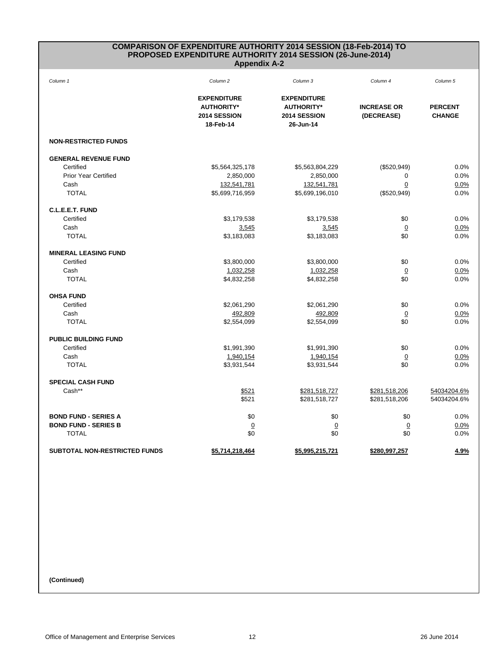#### **COMPARISON OF EXPENDITURE AUTHORITY 2014 SESSION (18-Feb-2014) TO PROPOSED EXPENDITURE AUTHORITY 2014 SESSION (26-June-2014) Appendix A-2**

| Column 1                             | Column <sub>2</sub>                                                  | Column 3                                                             | Column 4                         | Column 5                        |
|--------------------------------------|----------------------------------------------------------------------|----------------------------------------------------------------------|----------------------------------|---------------------------------|
|                                      | <b>EXPENDITURE</b><br><b>AUTHORITY*</b><br>2014 SESSION<br>18-Feb-14 | <b>EXPENDITURE</b><br><b>AUTHORITY*</b><br>2014 SESSION<br>26-Jun-14 | <b>INCREASE OR</b><br>(DECREASE) | <b>PERCENT</b><br><b>CHANGE</b> |
| <b>NON-RESTRICTED FUNDS</b>          |                                                                      |                                                                      |                                  |                                 |
| <b>GENERAL REVENUE FUND</b>          |                                                                      |                                                                      |                                  |                                 |
| Certified                            | \$5,564,325,178                                                      | \$5,563,804,229                                                      | (\$520,949)                      | 0.0%                            |
| <b>Prior Year Certified</b>          | 2,850,000                                                            | 2,850,000                                                            | 0                                | 0.0%                            |
| Cash                                 | 132,541,781                                                          | 132,541,781                                                          | 0                                | 0.0%                            |
| <b>TOTAL</b>                         | \$5,699,716,959                                                      | \$5,699,196,010                                                      | (\$520,949)                      | 0.0%                            |
| C.L.E.E.T. FUND                      |                                                                      |                                                                      |                                  |                                 |
| Certified                            | \$3,179,538                                                          | \$3,179,538                                                          | \$0                              | 0.0%                            |
| Cash                                 | 3,545                                                                | 3,545                                                                | $\overline{0}$                   | 0.0%                            |
| <b>TOTAL</b>                         | \$3,183,083                                                          | \$3,183,083                                                          | \$0                              | 0.0%                            |
| <b>MINERAL LEASING FUND</b>          |                                                                      |                                                                      |                                  |                                 |
| Certified                            | \$3,800,000                                                          | \$3,800,000                                                          | \$0                              | 0.0%                            |
| Cash                                 | 1,032,258                                                            | 1,032,258                                                            | $\overline{0}$                   | 0.0%                            |
| <b>TOTAL</b>                         | \$4,832,258                                                          | \$4,832,258                                                          | \$0                              | 0.0%                            |
| <b>OHSA FUND</b>                     |                                                                      |                                                                      |                                  |                                 |
| Certified                            | \$2,061,290                                                          | \$2,061,290                                                          | \$0                              | 0.0%                            |
| Cash                                 | 492,809                                                              | 492,809                                                              | $\overline{0}$                   | 0.0%                            |
| <b>TOTAL</b>                         | \$2,554,099                                                          | \$2,554,099                                                          | \$0                              | 0.0%                            |
| <b>PUBLIC BUILDING FUND</b>          |                                                                      |                                                                      |                                  |                                 |
| Certified                            | \$1,991,390                                                          | \$1,991,390                                                          | \$0                              | 0.0%                            |
| Cash                                 | 1,940,154                                                            | 1,940,154                                                            | $\overline{0}$                   | 0.0%                            |
| <b>TOTAL</b>                         | \$3,931,544                                                          | \$3,931,544                                                          | \$0                              | 0.0%                            |
| <b>SPECIAL CASH FUND</b>             |                                                                      |                                                                      |                                  |                                 |
| Cash**                               | \$521                                                                | \$281,518,727                                                        | \$281,518,206                    | 54034204.6%                     |
|                                      | \$521                                                                | \$281,518,727                                                        | \$281,518,206                    | 54034204.6%                     |
| <b>BOND FUND - SERIES A</b>          | \$0                                                                  | \$0                                                                  | \$0                              | 0.0%                            |
| <b>BOND FUND - SERIES B</b>          | $\overline{0}$                                                       | $\overline{0}$                                                       | $\overline{0}$                   | 0.0%                            |
| <b>TOTAL</b>                         | \$0                                                                  | \$0                                                                  | \$0                              | 0.0%                            |
| <b>SUBTOTAL NON-RESTRICTED FUNDS</b> | \$5,714,218,464                                                      | \$5,995,215,721                                                      | <u>\$280,997,257</u>             | 4.9%                            |

**(Continued)**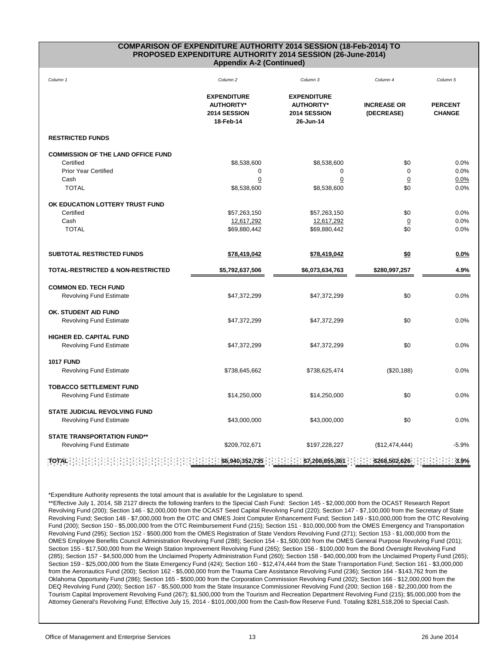#### **COMPARISON OF EXPENDITURE AUTHORITY 2014 SESSION (18-Feb-2014) TO PROPOSED EXPENDITURE AUTHORITY 2014 SESSION (26-June-2014) Appendix A-2 (Continued)**

| Column 1                                                                                                         | Column <sub>2</sub>                                                  | Column 3                                                             | Column 4                         | Column 5                        |
|------------------------------------------------------------------------------------------------------------------|----------------------------------------------------------------------|----------------------------------------------------------------------|----------------------------------|---------------------------------|
|                                                                                                                  | <b>EXPENDITURE</b><br><b>AUTHORITY*</b><br>2014 SESSION<br>18-Feb-14 | <b>EXPENDITURE</b><br><b>AUTHORITY*</b><br>2014 SESSION<br>26-Jun-14 | <b>INCREASE OR</b><br>(DECREASE) | <b>PERCENT</b><br><b>CHANGE</b> |
| <b>RESTRICTED FUNDS</b>                                                                                          |                                                                      |                                                                      |                                  |                                 |
| <b>COMMISSION OF THE LAND OFFICE FUND</b>                                                                        |                                                                      |                                                                      |                                  |                                 |
| Certified                                                                                                        | \$8,538,600                                                          | \$8,538,600                                                          | \$0                              | 0.0%                            |
| <b>Prior Year Certified</b>                                                                                      | 0                                                                    | 0                                                                    | $\mathbf 0$                      | 0.0%                            |
| Cash                                                                                                             | 0                                                                    | 0                                                                    | $\Omega$                         | 0.0%                            |
| <b>TOTAL</b>                                                                                                     | \$8,538,600                                                          | \$8,538,600                                                          | \$0                              | 0.0%                            |
| OK EDUCATION LOTTERY TRUST FUND                                                                                  |                                                                      |                                                                      |                                  |                                 |
| Certified                                                                                                        | \$57,263,150                                                         | \$57,263,150                                                         | \$0                              | 0.0%                            |
| Cash                                                                                                             | 12,617,292                                                           | 12,617,292                                                           | $\overline{0}$                   | 0.0%                            |
| <b>TOTAL</b>                                                                                                     | \$69,880,442                                                         | \$69,880,442                                                         | \$0                              | 0.0%                            |
|                                                                                                                  |                                                                      |                                                                      |                                  |                                 |
| SUBTOTAL RESTRICTED FUNDS                                                                                        | \$78,419,042                                                         | \$78,419,042                                                         | \$0                              | 0.0%                            |
| <b>TOTAL-RESTRICTED &amp; NON-RESTRICTED</b>                                                                     | \$5,792,637,506                                                      | \$6,073,634,763                                                      | \$280,997,257                    | 4.9%                            |
| <b>COMMON ED. TECH FUND</b>                                                                                      |                                                                      |                                                                      |                                  |                                 |
| <b>Revolving Fund Estimate</b>                                                                                   | \$47,372,299                                                         | \$47,372,299                                                         | \$0                              | 0.0%                            |
| OK. STUDENT AID FUND                                                                                             |                                                                      |                                                                      |                                  |                                 |
| <b>Revolving Fund Estimate</b>                                                                                   | \$47,372,299                                                         | \$47,372,299                                                         | \$0                              | 0.0%                            |
| <b>HIGHER ED. CAPITAL FUND</b>                                                                                   |                                                                      |                                                                      |                                  |                                 |
| <b>Revolving Fund Estimate</b>                                                                                   | \$47,372,299                                                         | \$47,372,299                                                         | \$0                              | 0.0%                            |
| <b>1017 FUND</b>                                                                                                 |                                                                      |                                                                      |                                  |                                 |
| <b>Revolving Fund Estimate</b>                                                                                   | \$738,645,662                                                        | \$738,625,474                                                        | (\$20,188)                       | 0.0%                            |
| <b>TOBACCO SETTLEMENT FUND</b>                                                                                   |                                                                      |                                                                      |                                  |                                 |
| <b>Revolving Fund Estimate</b>                                                                                   | \$14,250,000                                                         | \$14,250,000                                                         | \$0                              | 0.0%                            |
| <b>STATE JUDICIAL REVOLVING FUND</b>                                                                             |                                                                      |                                                                      |                                  |                                 |
| <b>Revolving Fund Estimate</b>                                                                                   | \$43,000,000                                                         | \$43,000,000                                                         | \$0                              | 0.0%                            |
| <b>STATE TRANSPORTATION FUND**</b>                                                                               |                                                                      |                                                                      |                                  |                                 |
| Revolving Fund Estimate                                                                                          | \$209,702,671                                                        | \$197,228,227                                                        | (\$12,474,444)                   | $-5.9%$                         |
| $\cdot$ : $\cdot$ \$7,208,855,361 $\cdot$ \$268,502,626 $\cdot$ : $\cdot$ : 3.9%<br>TOTAL :<br>\$6,940,352,735 : |                                                                      |                                                                      |                                  |                                 |

\*Expenditure Authority represents the total amount that is available for the Legislature to spend.

\*\*Effective July 1, 2014, SB 2127 directs the following tranfers to the Special Cash Fund: Section 145 - \$2,000,000 from the OCAST Research Report Revolving Fund (200); Section 146 - \$2,000,000 from the OCAST Seed Capital Revolving Fund (220); Section 147 - \$7,100,000 from the Secretary of State Revolving Fund; Section 148 - \$7,000,000 from the OTC and OMES Joint Computer Enhancement Fund; Section 149 - \$10,000,000 from the OTC Revolving Fund (200); Section 150 - \$5,000,000 from the OTC Reimbursement Fund (215); Section 151 - \$10,000,000 from the OMES Emergency and Transportation Revolving Fund (295); Section 152 - \$500,000 from the OMES Registration of State Vendors Revolving Fund (271); Section 153 - \$1,000,000 from the OMES Employee Benefits Council Administration Revolving Fund (288); Section 154 - \$1,500,000 from the OMES General Purpose Revolving Fund (201); Section 155 - \$17,500,000 from the Weigh Station Improvement Revolving Fund (265); Section 156 - \$100,000 from the Bond Oversight Revolving Fund (285); Section 157 - \$4,500,000 from the Unclaimed Property Administration Fund (260); Section 158 - \$40,000,000 from the Unclaimed Property Fund (265); Section 159 - \$25,000,000 from the State Emergency Fund (424); Section 160 - \$12,474,444 from the State Transportation Fund; Section 161 - \$3,000,000 from the Aeronautics Fund (200); Section 162 - \$5,000,000 from the Trauma Care Assistance Revolving Fund (236); Section 164 - \$143,762 from the Oklahoma Opportunity Fund (286); Section 165 - \$500,000 from the Corporation Commission Revolving Fund (202); Section 166 - \$12,000,000 from the DEQ Revolving Fund (200); Section 167 - \$5,500,000 from the State Insurance Commissioner Revolving Fund (200; Section 168 - \$2,200,000 from the Tourism Capital Improvement Revolving Fund (267); \$1,500,000 from the Tourism and Recreation Department Revolving Fund (215); \$5,000,000 from the Attorney General's Revolving Fund; Effective July 15, 2014 - \$101,000,000 from the Cash-flow Reserve Fund. Totaling \$281,518,206 to Special Cash.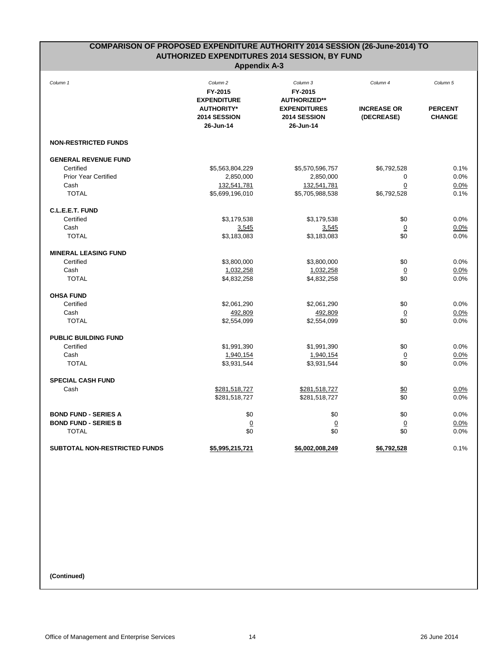| COMPARISON OF PROPOSED EXPENDITURE AUTHORITY 2014 SESSION (26-June-2014) TO |                                                      |                                                  |                                  |                                 |
|-----------------------------------------------------------------------------|------------------------------------------------------|--------------------------------------------------|----------------------------------|---------------------------------|
|                                                                             | <b>AUTHORIZED EXPENDITURES 2014 SESSION, BY FUND</b> |                                                  |                                  |                                 |
| <b>Appendix A-3</b>                                                         |                                                      |                                                  |                                  |                                 |
| Column 1                                                                    | Column <sub>2</sub><br>FY-2015<br><b>EXPENDITURE</b> | Column 3<br>FY-2015<br><b>AUTHORIZED**</b>       | Column 4                         | Column 5                        |
|                                                                             | <b>AUTHORITY*</b><br>2014 SESSION<br>26-Jun-14       | <b>EXPENDITURES</b><br>2014 SESSION<br>26-Jun-14 | <b>INCREASE OR</b><br>(DECREASE) | <b>PERCENT</b><br><b>CHANGE</b> |
| <b>NON-RESTRICTED FUNDS</b>                                                 |                                                      |                                                  |                                  |                                 |
| <b>GENERAL REVENUE FUND</b>                                                 |                                                      |                                                  |                                  |                                 |
| Certified                                                                   | \$5,563,804,229                                      | \$5,570,596,757                                  | \$6,792,528                      | 0.1%                            |
| <b>Prior Year Certified</b>                                                 | 2,850,000                                            | 2,850,000                                        | 0                                | 0.0%                            |
| Cash                                                                        | 132,541,781                                          | 132,541,781                                      | 0                                | 0.0%                            |
| <b>TOTAL</b>                                                                | \$5,699,196,010                                      | \$5,705,988,538                                  | \$6,792,528                      | 0.1%                            |
| C.L.E.E.T. FUND                                                             |                                                      |                                                  |                                  |                                 |
| Certified                                                                   | \$3,179,538                                          | \$3,179,538                                      | \$0                              | 0.0%                            |
| Cash                                                                        | 3,545                                                | 3,545                                            | $\overline{0}$                   | 0.0%                            |
| <b>TOTAL</b>                                                                | \$3,183,083                                          | \$3,183,083                                      | \$0                              | 0.0%                            |
| <b>MINERAL LEASING FUND</b>                                                 |                                                      |                                                  |                                  |                                 |
| Certified                                                                   | \$3,800,000                                          | \$3,800,000                                      | \$0                              | 0.0%                            |
| Cash                                                                        | 1,032,258                                            | 1,032,258                                        | $\overline{0}$                   | 0.0%                            |
| <b>TOTAL</b>                                                                | \$4,832,258                                          | \$4,832,258                                      | \$0                              | 0.0%                            |
| <b>OHSA FUND</b>                                                            |                                                      |                                                  |                                  |                                 |
| Certified                                                                   | \$2,061,290                                          | \$2,061,290                                      | \$0                              | 0.0%                            |
| Cash                                                                        | 492,809                                              | 492,809                                          | $\overline{0}$                   | 0.0%                            |
| <b>TOTAL</b>                                                                | \$2,554,099                                          | \$2,554,099                                      | \$0                              | 0.0%                            |
| <b>PUBLIC BUILDING FUND</b>                                                 |                                                      |                                                  |                                  |                                 |
| Certified                                                                   | \$1,991,390                                          | \$1,991,390                                      | \$0                              | 0.0%                            |
| Cash                                                                        | 1,940,154                                            | 1,940,154                                        | 0                                | 0.0%                            |
| <b>TOTAL</b>                                                                | \$3,931,544                                          | \$3,931,544                                      | \$0                              | 0.0%                            |
| <b>SPECIAL CASH FUND</b>                                                    |                                                      |                                                  |                                  |                                 |
| Cash                                                                        | \$281,518,727                                        | \$281,518,727                                    | \$0                              | 0.0%                            |
|                                                                             | \$281,518,727                                        | \$281,518,727                                    | \$0                              | 0.0%                            |
| <b>BOND FUND - SERIES A</b>                                                 | \$0                                                  | \$0                                              | \$0                              | 0.0%                            |
| <b>BOND FUND - SERIES B</b>                                                 | $\overline{0}$                                       | $\overline{0}$                                   | $\overline{0}$                   | 0.0%                            |
| <b>TOTAL</b>                                                                | \$0                                                  | \$0                                              | \$0                              | 0.0%                            |
| SUBTOTAL NON-RESTRICTED FUNDS                                               | \$5,995,215,721                                      | \$6,002,008,249                                  | \$6,792,528                      | 0.1%                            |

**(Continued)**